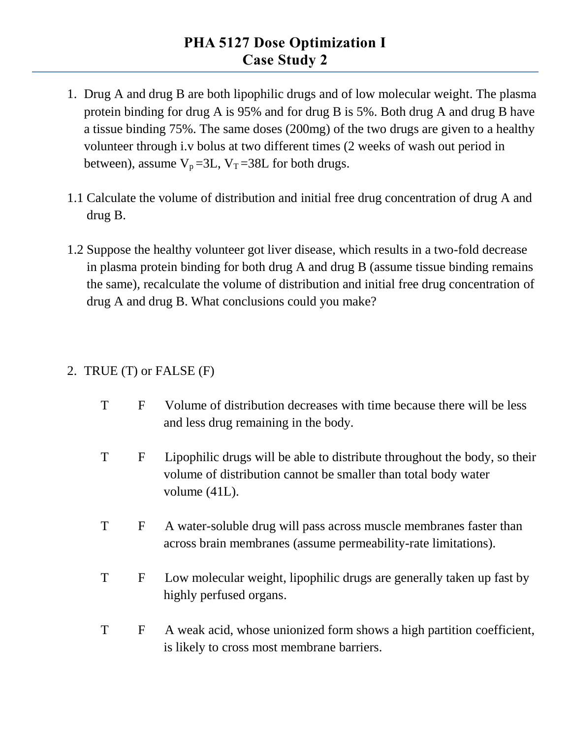- 1. Drug A and drug B are both lipophilic drugs and of low molecular weight. The plasma protein binding for drug A is 95% and for drug B is 5%. Both drug A and drug B have a tissue binding 75%. The same doses (200mg) of the two drugs are given to a healthy volunteer through i.v bolus at two different times (2 weeks of wash out period in between), assume  $V_p = 3L$ ,  $V_T = 38L$  for both drugs.
- 1.1 Calculate the volume of distribution and initial free drug concentration of drug A and drug B.
- 1.2 Suppose the healthy volunteer got liver disease, which results in a two-fold decrease in plasma protein binding for both drug A and drug B (assume tissue binding remains the same), recalculate the volume of distribution and initial free drug concentration of drug A and drug B. What conclusions could you make?

## 2. TRUE (T) or FALSE (F)

- T F Volume of distribution decreases with time because there will be less and less drug remaining in the body.
- T F Lipophilic drugs will be able to distribute throughout the body, so their volume of distribution cannot be smaller than total body water volume (41L).
- T F A water-soluble drug will pass across muscle membranes faster than across brain membranes (assume permeability-rate limitations).
- T F Low molecular weight, lipophilic drugs are generally taken up fast by highly perfused organs.
- T F A weak acid, whose unionized form shows a high partition coefficient, is likely to cross most membrane barriers.